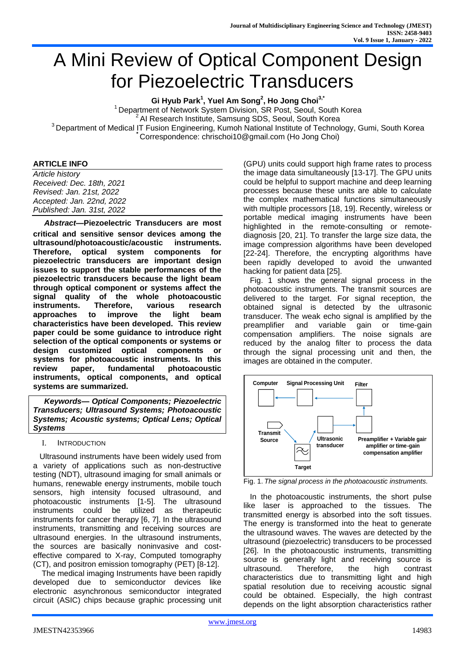# A Mini Review of Optical Component Design for Piezoelectric Transducers

**Gi Hyub Park<sup>1</sup> , Yuel Am Song<sup>2</sup> , Ho Jong Choi 3,\***

<sup>1</sup> Department of Network System Division, SR Post, Seoul, South Korea AI Research Institute, Samsung SDS, Seoul, South Korea <sup>3</sup> Department of Medical IT Fusion Engineering, Kumoh National Institute of Technology, Gumi, South Korea **\*** Correspondence: chrischoi10@gmail.com (Ho Jong Choi)

#### **ARTICLE INFO**

*Article history Received: Dec. 18th, 2021 Revised: Jan. 21st, 2022 Accepted: Jan. 22nd, 2022 Published: Jan. 31st, 2022*

*Abstract***—Piezoelectric Transducers are most critical and sensitive sensor devices among the ultrasound/photoacoustic/acoustic instruments. Therefore, optical system components for piezoelectric transducers are important design issues to support the stable performances of the piezoelectric transducers because the light beam through optical component or systems affect the signal quality of the whole photoacoustic instruments. Therefore, various research approaches to improve the light beam characteristics have been developed. This review paper could be some guidance to introduce right selection of the optical components or systems or design customized optical components or systems for photoacoustic instruments. In this review paper, fundamental photoacoustic instruments, optical components, and optical systems are summarized.**

*Keywords— Optical Components; Piezoelectric Transducers; Ultrasound Systems; Photoacoustic Systems; Acoustic systems; Optical Lens; Optical Systems*

#### I. INTRODUCTION

 Ultrasound instruments have been widely used from a variety of applications such as non-destructive testing (NDT), ultrasound imaging for small animals or humans, renewable energy instruments, mobile touch sensors, high intensity focused ultrasound, and photoacoustic instruments [1-5]. The ultrasound instruments could be utilized as therapeutic instruments for cancer therapy [6, 7]. In the ultrasound instruments, transmitting and receiving sources are ultrasound energies. In the ultrasound instruments, the sources are basically noninvasive and costeffective compared to X-ray, Computed tomography (CT), and positron emission tomography (PET) [8-12].

 The medical imaging Instruments have been rapidly developed due to semiconductor devices like electronic asynchronous semiconductor integrated circuit (ASIC) chips because graphic processing unit (GPU) units could support high frame rates to process the image data simultaneously [13-17]. The GPU units could be helpful to support machine and deep learning processes because these units are able to calculate the complex mathematical functions simultaneously with multiple processors [18, 19]. Recently, wireless or portable medical imaging instruments have been highlighted in the remote-consulting or remotediagnosis [20, 21]. To transfer the large size data, the image compression algorithms have been developed [22-24]. Therefore, the encrypting algorithms have been rapidly developed to avoid the unwanted hacking for patient data [25].

 Fig. 1 shows the general signal process in the photoacoustic instruments. The transmit sources are delivered to the target. For signal reception, the obtained signal is detected by the ultrasonic transducer. The weak echo signal is amplified by the preamplifier and variable gain or time-gain compensation amplifiers. The noise signals are reduced by the analog filter to process the data through the signal processing unit and then, the images are obtained in the computer.



Fig. 1. *The signal process in the photoacoustic instruments.*

 In the photoacoustic instruments, the short pulse like laser is approached to the tissues. The transmitted energy is absorbed into the soft tissues. The energy is transformed into the heat to generate the ultrasound waves. The waves are detected by the ultrasound (piezoelectric) transducers to be processed [26]. In the photoacoustic instruments, transmitting source is generally light and receiving source is ultrasound. Therefore, the high contrast characteristics due to transmitting light and high spatial resolution due to receiving acoustic signal could be obtained. Especially, the high contrast depends on the light absorption characteristics rather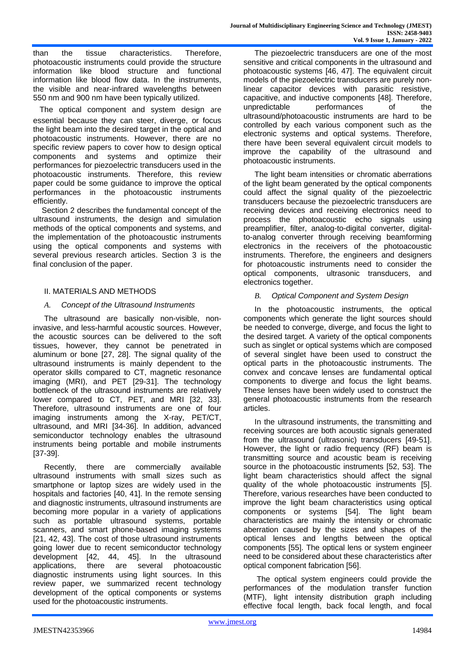than the tissue characteristics. Therefore, photoacoustic instruments could provide the structure information like blood structure and functional information like blood flow data. In the instruments, the visible and near-infrared wavelengths between 550 nm and 900 nm have been typically utilized.

 The optical component and system design are essential because they can steer, diverge, or focus the light beam into the desired target in the optical and photoacoustic instruments. However, there are no specific review papers to cover how to design optical components and systems and optimize their performances for piezoelectric transducers used in the photoacoustic instruments. Therefore, this review paper could be some guidance to improve the optical performances in the photoacoustic instruments efficiently.

 Section 2 describes the fundamental concept of the ultrasound instruments, the design and simulation methods of the optical components and systems, and the implementation of the photoacoustic instruments using the optical components and systems with several previous research articles. Section 3 is the final conclusion of the paper.

# II. MATERIALS AND METHODS

# *A. Concept of the Ultrasound Instruments*

The ultrasound are basically non-visible, noninvasive, and less-harmful acoustic sources. However, the acoustic sources can be delivered to the soft tissues, however, they cannot be penetrated in aluminum or bone [27, 28]. The signal quality of the ultrasound instruments is mainly dependent to the operator skills compared to CT, magnetic resonance imaging (MRI), and PET [29-31]. The technology bottleneck of the ultrasound instruments are relatively lower compared to CT, PET, and MRI [32, 33]. Therefore, ultrasound instruments are one of four imaging instruments among the X-ray, PET/CT, ultrasound, and MRI [34-36]. In addition, advanced semiconductor technology enables the ultrasound instruments being portable and mobile instruments [37-39].

Recently, there are commercially available ultrasound instruments with small sizes such as smartphone or laptop sizes are widely used in the hospitals and factories [40, 41]. In the remote sensing and diagnostic instruments, ultrasound instruments are becoming more popular in a variety of applications such as portable ultrasound systems, portable scanners, and smart phone-based imaging systems [21, 42, 43]. The cost of those ultrasound instruments going lower due to recent semiconductor technology development [42, 44, 45]. In the ultrasound applications, there are several photoacoustic diagnostic instruments using light sources. In this review paper, we summarized recent technology development of the optical components or systems used for the photoacoustic instruments.

The piezoelectric transducers are one of the most sensitive and critical components in the ultrasound and photoacoustic systems [46, 47]. The equivalent circuit models of the piezoelectric transducers are purely nonlinear capacitor devices with parasitic resistive, capacitive, and inductive components [48]. Therefore, unpredictable performances of the ultrasound/photoacoustic instruments are hard to be controlled by each various component such as the electronic systems and optical systems. Therefore, there have been several equivalent circuit models to improve the capability of the ultrasound and photoacoustic instruments.

The light beam intensities or chromatic aberrations of the light beam generated by the optical components could affect the signal quality of the piezoelectric transducers because the piezoelectric transducers are receiving devices and receiving electronics need to process the photoacoustic echo signals using preamplifier, filter, analog-to-digital converter, digitalto-analog converter through receiving beamforming electronics in the receivers of the photoacoustic instruments. Therefore, the engineers and designers for photoacoustic instruments need to consider the optical components, ultrasonic transducers, and electronics together.

# *B. Optical Component and System Design*

In the photoacoustic instruments, the optical components which generate the light sources should be needed to converge, diverge, and focus the light to the desired target. A variety of the optical components such as singlet or optical systems which are composed of several singlet have been used to construct the optical parts in the photoacoustic instruments. The convex and concave lenses are fundamental optical components to diverge and focus the light beams. These lenses have been widely used to construct the general photoacoustic instruments from the research articles.

In the ultrasound instruments, the transmitting and receiving sources are both acoustic signals generated from the ultrasound (ultrasonic) transducers [49-51]. However, the light or radio frequency (RF) beam is transmitting source and acoustic beam is receiving source in the photoacoustic instruments [52, 53]. The light beam characteristics should affect the signal quality of the whole photoacoustic instruments [5]. Therefore, various researches have been conducted to improve the light beam characteristics using optical components or systems [54]. The light beam characteristics are mainly the intensity or chromatic aberration caused by the sizes and shapes of the optical lenses and lengths between the optical components [55]. The optical lens or system engineer need to be considered about these characteristics after optical component fabrication [56].

The optical system engineers could provide the performances of the modulation transfer function (MTF), light intensity distribution graph including effective focal length, back focal length, and focal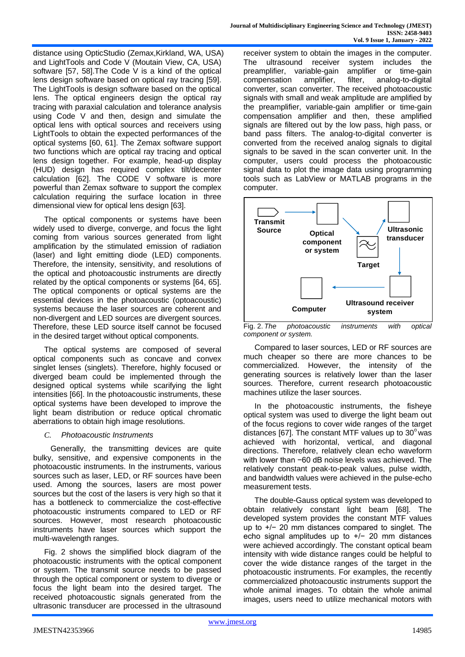distance using OpticStudio (Zemax,Kirkland, WA, USA) and LightTools and Code V (Moutain View, CA, USA) software [57, 58]. The Code V is a kind of the optical lens design software based on optical ray tracing [59]. The LightTools is design software based on the optical lens. The optical engineers design the optical ray tracing with paraxial calculation and tolerance analysis using Code V and then, design and simulate the optical lens with optical sources and receivers using LightTools to obtain the expected performances of the optical systems [60, 61]. The Zemax software support two functions which are optical ray tracing and optical lens design together. For example, head-up display (HUD) design has required complex tilt/decenter calculation [62]. The CODE V software is more powerful than Zemax software to support the complex calculation requiring the surface location in three dimensional view for optical lens design [63].

The optical components or systems have been widely used to diverge, converge, and focus the light coming from various sources generated from light amplification by the stimulated emission of radiation (laser) and light emitting diode (LED) components. Therefore, the intensity, sensitivity, and resolutions of the optical and photoacoustic instruments are directly related by the optical components or systems [64, 65]. The optical components or optical systems are the essential devices in the photoacoustic (optoacoustic) systems because the laser sources are coherent and non-divergent and LED sources are divergent sources. Therefore, these LED source itself cannot be focused in the desired target without optical components.

The optical systems are composed of several optical components such as concave and convex singlet lenses (singlets). Therefore, highly focused or diverged beam could be implemented through the designed optical systems while scarifying the light intensities [66]. In the photoacoustic instruments, these optical systems have been developed to improve the light beam distribution or reduce optical chromatic aberrations to obtain high image resolutions.

# *C. Photoacoustic Instruments*

 Generally, the transmitting devices are quite bulky, sensitive, and expensive components in the photoacoustic instruments. In the instruments, various sources such as laser, LED, or RF sources have been used. Among the sources, lasers are most power sources but the cost of the lasers is very high so that it has a bottleneck to commercialize the cost-effective photoacoustic instruments compared to LED or RF sources. However, most research photoacoustic instruments have laser sources which support the multi-wavelength ranges.

Fig. 2 shows the simplified block diagram of the photoacoustic instruments with the optical component or system. The transmit source needs to be passed through the optical component or system to diverge or focus the light beam into the desired target. The received photoacoustic signals generated from the ultrasonic transducer are processed in the ultrasound receiver system to obtain the images in the computer. The ultrasound receiver system includes the preamplifier, variable-gain amplifier or time-gain compensation amplifier, filter, analog-to-digital converter, scan converter. The received photoacoustic signals with small and weak amplitude are amplified by the preamplifier, variable-gain amplifier or time-gain compensation amplifier and then, these amplified signals are filtered out by the low pass, high pass, or band pass filters. The analog-to-digital converter is converted from the received analog signals to digital signals to be saved in the scan converter unit. In the computer, users could process the photoacoustic signal data to plot the image data using programming tools such as LabView or MATLAB programs in the computer.



Fig. 2. *The photoacoustic instruments with optical component or system.*

Compared to laser sources, LED or RF sources are much cheaper so there are more chances to be commercialized. However, the intensity of the generating sources is relatively lower than the laser sources. Therefore, current research photoacoustic machines utilize the laser sources.

In the photoacoustic instruments, the fisheye optical system was used to diverge the light beam out of the focus regions to cover wide ranges of the target distances [67]. The constant MTF values up to  $30^{\circ}$  was achieved with horizontal, vertical, and diagonal directions. Therefore, relatively clean echo waveform with lower than −60 dB noise levels was achieved. The relatively constant peak-to-peak values, pulse width, and bandwidth values were achieved in the pulse-echo measurement tests.

The double-Gauss optical system was developed to obtain relatively constant light beam [68]. The developed system provides the constant MTF values up to +/− 20 mm distances compared to singlet. The echo signal amplitudes up to +/− 20 mm distances were achieved accordingly. The constant optical beam intensity with wide distance ranges could be helpful to cover the wide distance ranges of the target in the photoacoustic instruments. For examples, the recently commercialized photoacoustic instruments support the whole animal images. To obtain the whole animal images, users need to utilize mechanical motors with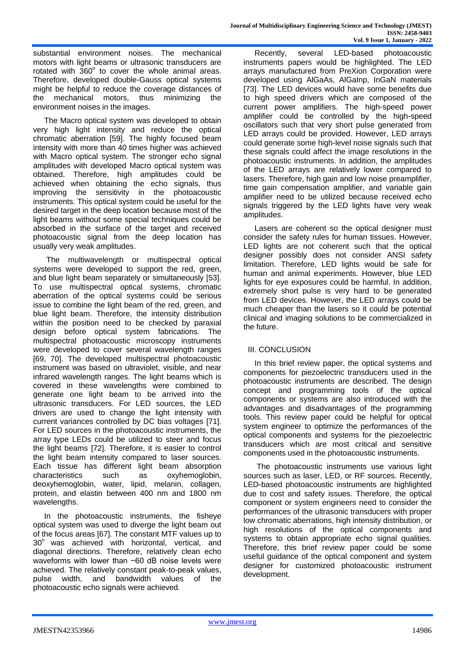substantial environment noises. The mechanical motors with light beams or ultrasonic transducers are rotated with  $360^\circ$  to cover the whole animal areas. Therefore, developed double-Gauss optical systems might be helpful to reduce the coverage distances of the mechanical motors, thus minimizing the environment noises in the images.

The Macro optical system was developed to obtain very high light intensity and reduce the optical chromatic aberration [59]. The highly focused beam intensity with more than 40 times higher was achieved with Macro optical system. The stronger echo signal amplitudes with developed Macro optical system was obtained. Therefore, high amplitudes could be achieved when obtaining the echo signals, thus improving the sensitivity in the photoacoustic instruments. This optical system could be useful for the desired target in the deep location because most of the light beams without some special techniques could be absorbed in the surface of the target and received photoacoustic signal from the deep location has usually very weak amplitudes.

The multiwavelength or multispectral optical systems were developed to support the red, green, and blue light beam separately or simultaneously [53]. To use multispectral optical systems, chromatic aberration of the optical systems could be serious issue to combine the light beam of the red, green, and blue light beam. Therefore, the intensity distribution within the position need to be checked by paraxial design before optical system fabrications. The multispectral photoacoustic microscopy instruments were developed to cover several wavelength ranges [69, 70]. The developed multispectral photoacoustic instrument was based on ultraviolet, visible, and near infrared wavelength ranges. The light beams which is covered in these wavelengths were combined to generate one light beam to be arrived into the ultrasonic transducers. For LED sources, the LED drivers are used to change the light intensity with current variances controlled by DC bias voltages [71]. For LED sources in the photoacoustic instruments, the array type LEDs could be utilized to steer and focus the light beams [72]. Therefore, it is easier to control the light beam intensity compared to laser sources. Each tissue has different light beam absorption characteristics such as oxyhemoglobin, deoxyhemoglobin, water, lipid, melanin, collagen, protein, and elastin between 400 nm and 1800 nm wavelengths.

In the photoacoustic instruments, the fisheye optical system was used to diverge the light beam out of the focus areas [67]. The constant MTF values up to 30° was achieved with horizontal, vertical, and diagonal directions. Therefore, relatively clean echo waveforms with lower than −60 dB noise levels were achieved. The relatively constant peak-to-peak values, pulse width, and bandwidth values of the photoacoustic echo signals were achieved.

Recently, several LED-based photoacoustic instruments papers would be highlighted. The LED arrays manufactured from PreXion Corporation were developed using AlGaAs, AlGaInp, InGaN materials [73]. The LED devices would have some benefits due to high speed drivers which are composed of the current power amplifiers. The high-speed power amplifier could be controlled by the high-speed oscillators such that very short pulse generated from LED arrays could be provided. However, LED arrays could generate some high-level noise signals such that these signals could affect the image resolutions in the photoacoustic instruments. In addition, the amplitudes of the LED arrays are relatively lower compared to lasers. Therefore, high gain and low noise preamplifier, time gain compensation amplifier, and variable gain amplifier need to be utilized because received echo signals triggered by the LED lights have very weak amplitudes.

Lasers are coherent so the optical designer must consider the safety rules for human tissues. However, LED lights are not coherent such that the optical designer possibly does not consider ANSI safety limitation. Therefore, LED lights would be safe for human and animal experiments. However, blue LED lights for eye exposures could be harmful. In addition, extremely short pulse is very hard to be generated from LED devices. However, the LED arrays could be much cheaper than the lasers so it could be potential clinical and imaging solutions to be commercialized in the future.

# III. CONCLUSION

In this brief review paper, the optical systems and components for piezoelectric transducers used in the photoacoustic instruments are described. The design concept and programming tools of the optical components or systems are also introduced with the advantages and disadvantages of the programming tools. This review paper could be helpful for optical system engineer to optimize the performances of the optical components and systems for the piezoelectric transducers which are most critical and sensitive components used in the photoacoustic instruments.

The photoacoustic instruments use various light sources such as laser, LED, or RF sources. Recently, LED-based photoacoustic instruments are highlighted due to cost and safety issues. Therefore, the optical component or system engineers need to consider the performances of the ultrasonic transducers with proper low chromatic aberrations, high intensity distribution, or high resolutions of the optical components and systems to obtain appropriate echo signal qualities. Therefore, this brief review paper could be some useful guidance of the optical component and system designer for customized photoacoustic instrument development.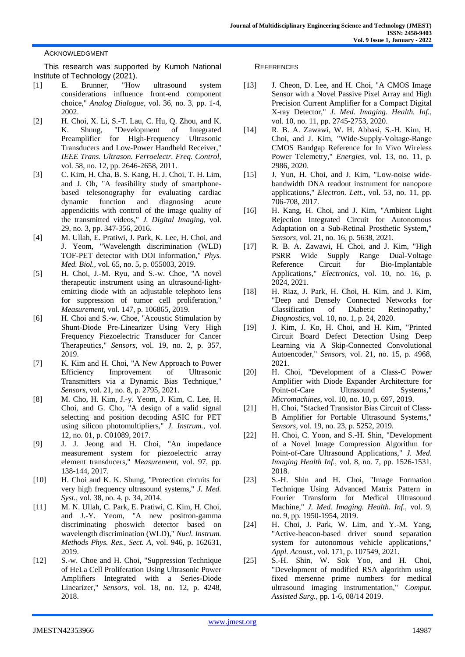#### ACKNOWLEDGMENT

This research was supported by Kumoh National Institute of Technology (2021).

- [1] E. Brunner, "How ultrasound system considerations influence front-end component choice," *Analog Dialogue,* vol. 36, no. 3, pp. 1-4, 2002.
- [2] H. Choi, X. Li, S.-T. Lau, C. Hu, Q. Zhou, and K. K. Shung, "Development of Integrated Preamplifier for High-Frequency Ultrasonic Transducers and Low-Power Handheld Receiver," *IEEE Trans. Ultrason. Ferroelectr. Freq. Control,*  vol. 58, no. 12, pp. 2646-2658, 2011.
- [3] C. Kim, H. Cha, B. S. Kang, H. J. Choi, T. H. Lim, and J. Oh, "A feasibility study of smartphonebased telesonography for evaluating cardiac dynamic function and diagnosing acute appendicitis with control of the image quality of the transmitted videos," *J. Digital Imaging,* vol. 29, no. 3, pp. 347-356, 2016.
- [4] M. Ullah, E. Pratiwi, J. Park, K. Lee, H. Choi, and J. Yeom, "Wavelength discrimination (WLD) TOF-PET detector with DOI information," *Phys. Med. Biol.,* vol. 65, no. 5, p. 055003, 2019.
- [5] H. Choi, J.-M. Ryu, and S.-w. Choe, "A novel therapeutic instrument using an ultrasound-lightemitting diode with an adjustable telephoto lens for suppression of tumor cell proliferation," *Measurement,* vol. 147, p. 106865, 2019.
- [6] H. Choi and S.-w. Choe, "Acoustic Stimulation by Shunt-Diode Pre-Linearizer Using Very High Frequency Piezoelectric Transducer for Cancer Therapeutics," *Sensors,* vol. 19, no. 2, p. 357, 2019.
- [7] K. Kim and H. Choi, "A New Approach to Power Efficiency Improvement of Ultrasonic Transmitters via a Dynamic Bias Technique," *Sensors,* vol. 21, no. 8, p. 2795, 2021.
- [8] M. Cho, H. Kim, J.-y. Yeom, J. Kim, C. Lee, H. Choi, and G. Cho, "A design of a valid signal selecting and position decoding ASIC for PET using silicon photomultipliers," *J. Instrum.,* vol. 12, no. 01, p. C01089, 2017.
- [9] J. J. Jeong and H. Choi, "An impedance measurement system for piezoelectric array element transducers," *Measurement,* vol. 97, pp. 138-144, 2017.
- [10] H. Choi and K. K. Shung, "Protection circuits for very high frequency ultrasound systems," *J. Med. Syst.,* vol. 38, no. 4, p. 34, 2014.
- [11] M. N. Ullah, C. Park, E. Pratiwi, C. Kim, H. Choi, and J.-Y. Yeom, "A new positron-gamma discriminating phoswich detector based on wavelength discrimination (WLD)," *Nucl. Instrum. Methods Phys. Res., Sect. A,* vol. 946, p. 162631, 2019.
- [12] S.-w. Choe and H. Choi, "Suppression Technique of HeLa Cell Proliferation Using Ultrasonic Power Amplifiers Integrated with a Series-Diode Linearizer," *Sensors,* vol. 18, no. 12, p. 4248, 2018.

#### **REFERENCES**

- [13] J. Cheon, D. Lee, and H. Choi, "A CMOS Image Sensor with a Novel Passive Pixel Array and High Precision Current Amplifier for a Compact Digital X-ray Detector," *J. Med. Imaging. Health. Inf.,*  vol. 10, no. 11, pp. 2745-2753, 2020.
- [14] R. B. A. Zawawi, W. H. Abbasi, S.-H. Kim, H. Choi, and J. Kim, "Wide-Supply-Voltage-Range CMOS Bandgap Reference for In Vivo Wireless Power Telemetry," *Energies,* vol. 13, no. 11, p. 2986, 2020.
- [15] J. Yun, H. Choi, and J. Kim, "Low-noise widebandwidth DNA readout instrument for nanopore applications," *Electron. Lett.,* vol. 53, no. 11, pp. 706-708, 2017.
- [16] H. Kang, H. Choi, and J. Kim, "Ambient Light Rejection Integrated Circuit for Autonomous Adaptation on a Sub-Retinal Prosthetic System," *Sensors,* vol. 21, no. 16, p. 5638, 2021.
- [17] R. B. A. Zawawi, H. Choi, and J. Kim, "High PSRR Wide Supply Range Dual-Voltage Reference Circuit for Bio-Implantable Applications," *Electronics,* vol. 10, no. 16, p. 2024, 2021.
- [18] H. Riaz, J. Park, H. Choi, H. Kim, and J. Kim, "Deep and Densely Connected Networks for Classification of Diabetic Retinopathy," *Diagnostics,* vol. 10, no. 1, p. 24, 2020.
- [19] J. Kim, J. Ko, H. Choi, and H. Kim, "Printed Circuit Board Defect Detection Using Deep Learning via A Skip-Connected Convolutional Autoencoder," *Sensors,* vol. 21, no. 15, p. 4968, 2021.
- [20] H. Choi, "Development of a Class-C Power Amplifier with Diode Expander Architecture for Point-of-Care Ultrasound Systems," *Micromachines,* vol. 10, no. 10, p. 697, 2019.
- [21] H. Choi, "Stacked Transistor Bias Circuit of Class-B Amplifier for Portable Ultrasound Systems," *Sensors,* vol. 19, no. 23, p. 5252, 2019.
- [22] H. Choi, C. Yoon, and S.-H. Shin, "Development of a Novel Image Compression Algorithm for Point-of-Care Ultrasound Applications," *J. Med. Imaging Health Inf.,* vol. 8, no. 7, pp. 1526-1531, 2018.
- [23] S.-H. Shin and H. Choi, "Image Formation Technique Using Advanced Matrix Pattern in Fourier Transform for Medical Ultrasound Machine," *J. Med. Imaging. Health. Inf.,* vol. 9, no. 9, pp. 1950-1954, 2019.
- [24] H. Choi, J. Park, W. Lim, and Y.-M. Yang, "Active-beacon-based driver sound separation system for autonomous vehicle applications," *Appl. Acoust.,* vol. 171, p. 107549, 2021.
- [25] S.-H. Shin, W. Sok Yoo, and H. Choi, "Development of modified RSA algorithm using fixed mersenne prime numbers for medical ultrasound imaging instrumentation," *Comput. Assisted Surg.,* pp. 1-6, 08/14 2019.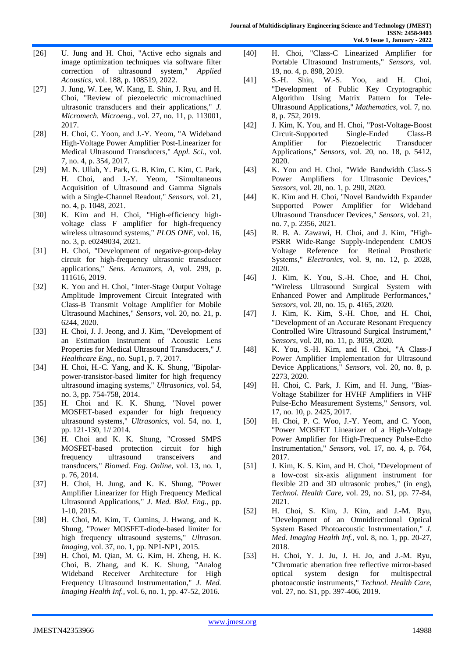- [26] U. Jung and H. Choi, "Active echo signals and image optimization techniques via software filter correction of ultrasound system," *Applied Acoustics,* vol. 188, p. 108519, 2022.
- [27] J. Jung, W. Lee, W. Kang, E. Shin, J. Ryu, and H. Choi, "Review of piezoelectric micromachined ultrasonic transducers and their applications," *J. Micromech. Microeng.,* vol. 27, no. 11, p. 113001, 2017.
- [28] H. Choi, C. Yoon, and J.-Y. Yeom, "A Wideband High-Voltage Power Amplifier Post-Linearizer for Medical Ultrasound Transducers," *Appl. Sci.,* vol. 7, no. 4, p. 354, 2017.
- [29] M. N. Ullah, Y. Park, G. B. Kim, C. Kim, C. Park, H. Choi, and J.-Y. Yeom, "Simultaneous Acquisition of Ultrasound and Gamma Signals with a Single-Channel Readout," *Sensors,* vol. 21, no. 4, p. 1048, 2021.
- [30] K. Kim and H. Choi, "High-efficiency highvoltage class F amplifier for high-frequency wireless ultrasound systems," *PLOS ONE,* vol. 16, no. 3, p. e0249034, 2021.
- [31] H. Choi, "Development of negative-group-delay circuit for high-frequency ultrasonic transducer applications," *Sens. Actuators, A,* vol. 299, p. 111616, 2019.
- [32] K. You and H. Choi, "Inter-Stage Output Voltage Amplitude Improvement Circuit Integrated with Class-B Transmit Voltage Amplifier for Mobile Ultrasound Machines," *Sensors,* vol. 20, no. 21, p. 6244, 2020.
- [33] H. Choi, J. J. Jeong, and J. Kim, "Development of an Estimation Instrument of Acoustic Lens Properties for Medical Ultrasound Transducers," *J. Healthcare Eng.,* no. Sup1, p. 7, 2017.
- [34] H. Choi, H.-C. Yang, and K. K. Shung, "Bipolarpower-transistor-based limiter for high frequency ultrasound imaging systems," *Ultrasonics,* vol. 54, no. 3, pp. 754-758, 2014.
- [35] H. Choi and K. K. Shung, "Novel power MOSFET-based expander for high frequency ultrasound systems," *Ultrasonics,* vol. 54, no. 1, pp. 121-130, 1// 2014.
- [36] H. Choi and K. K. Shung, "Crossed SMPS MOSFET-based protection circuit for high frequency ultrasound transceivers and transducers," *Biomed. Eng. Online,* vol. 13, no. 1, p. 76, 2014.
- [37] H. Choi, H. Jung, and K. K. Shung, "Power Amplifier Linearizer for High Frequency Medical Ultrasound Applications," *J. Med. Biol. Eng.,* pp. 1-10, 2015.
- [38] H. Choi, M. Kim, T. Cumins, J. Hwang, and K. Shung, "Power MOSFET-diode-based limiter for high frequency ultrasound systems," *Ultrason. Imaging,* vol. 37, no. 1, pp. NP1-NP1, 2015.
- [39] H. Choi, M. Qian, M. G. Kim, H. Zheng, H. K. Choi, B. Zhang, and K. K. Shung, "Analog Wideband Receiver Architecture for High Frequency Ultrasound Instrumentation," *J. Med. Imaging Health Inf.,* vol. 6, no. 1, pp. 47-52, 2016.
- [40] H. Choi, "Class-C Linearized Amplifier for Portable Ultrasound Instruments," *Sensors,* vol. 19, no. 4, p. 898, 2019.
- [41] S.-H. Shin, W.-S. Yoo, and H. Choi, "Development of Public Key Cryptographic Algorithm Using Matrix Pattern for Tele-Ultrasound Applications," *Mathematics,* vol. 7, no. 8, p. 752, 2019.
- [42] J. Kim, K. You, and H. Choi, "Post-Voltage-Boost Circuit-Supported Single-Ended Class-B Amplifier for Piezoelectric Transducer Applications," *Sensors,* vol. 20, no. 18, p. 5412, 2020.
- [43] K. You and H. Choi, "Wide Bandwidth Class-S Power Amplifiers for Ultrasonic Devices," *Sensors,* vol. 20, no. 1, p. 290, 2020.
- [44] K. Kim and H. Choi, "Novel Bandwidth Expander Supported Power Amplifier for Wideband Ultrasound Transducer Devices," *Sensors,* vol. 21, no. 7, p. 2356, 2021.
- [45] R. B. A. Zawawi, H. Choi, and J. Kim, "High-PSRR Wide-Range Supply-Independent CMOS Voltage Reference for Retinal Prosthetic Systems," *Electronics,* vol. 9, no. 12, p. 2028, 2020.
- [46] J. Kim, K. You, S.-H. Choe, and H. Choi, "Wireless Ultrasound Surgical System with Enhanced Power and Amplitude Performances," *Sensors,* vol. 20, no. 15, p. 4165, 2020.
- [47] J. Kim, K. Kim, S.-H. Choe, and H. Choi, "Development of an Accurate Resonant Frequency Controlled Wire Ultrasound Surgical Instrument," *Sensors,* vol. 20, no. 11, p. 3059, 2020.
- [48] K. You, S.-H. Kim, and H. Choi, "A Class-J Power Amplifier Implementation for Ultrasound Device Applications," *Sensors,* vol. 20, no. 8, p. 2273, 2020.
- [49] H. Choi, C. Park, J. Kim, and H. Jung, "Bias-Voltage Stabilizer for HVHF Amplifiers in VHF Pulse-Echo Measurement Systems," *Sensors,* vol. 17, no. 10, p. 2425, 2017.
- [50] H. Choi, P. C. Woo, J.-Y. Yeom, and C. Yoon, "Power MOSFET Linearizer of a High-Voltage Power Amplifier for High-Frequency Pulse-Echo Instrumentation," *Sensors,* vol. 17, no. 4, p. 764, 2017.
- [51] J. Kim, K. S. Kim, and H. Choi, "Development of a low-cost six-axis alignment instrument for flexible 2D and 3D ultrasonic probes," (in eng), *Technol. Health Care,* vol. 29, no. S1, pp. 77-84, 2021.
- [52] H. Choi, S. Kim, J. Kim, and J.-M. Ryu, "Development of an Omnidirectional Optical System Based Photoacoustic Instrumentation," *J. Med. Imaging Health Inf.,* vol. 8, no. 1, pp. 20-27, 2018.
- [53] H. Choi, Y. J. Ju, J. H. Jo, and J.-M. Ryu, "Chromatic aberration free reflective mirror-based optical system design for multispectral photoacoustic instruments," *Technol. Health Care,*  vol. 27, no. S1, pp. 397-406, 2019.